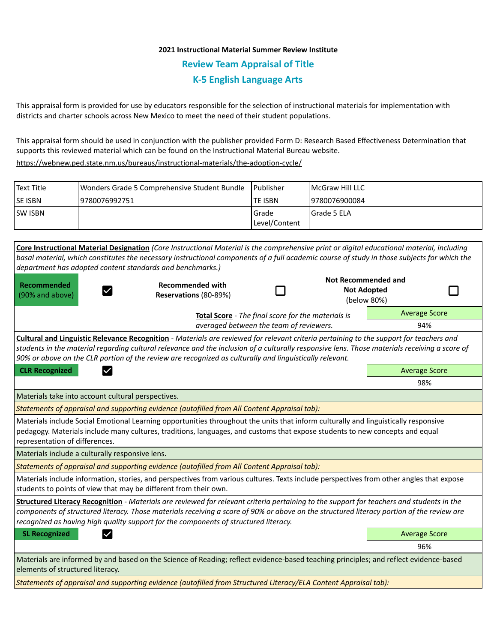# **2021 Instructional Material Summer Review Institute Review Team Appraisal of Title K-5 English Language Arts**

This appraisal form is provided for use by educators responsible for the selection of instructional materials for implementation with districts and charter schools across New Mexico to meet the need of their student populations.

This appraisal form should be used in conjunction with the publisher provided Form D: Research Based Effectiveness Determination that supports this reviewed material which can be found on the Instructional Material Bureau website.

<https://webnew.ped.state.nm.us/bureaus/instructional-materials/the-adoption-cycle/>

| Text Title     | Wonders Grade 5 Comprehensive Student Bundle | l Publisher   | <b>IMcGraw Hill LLC</b> |
|----------------|----------------------------------------------|---------------|-------------------------|
| <b>SE ISBN</b> | 9780076992751                                | lte ISBN      | 9780076900084           |
| <b>SW ISBN</b> |                                              | l Grade       | l Grade 5 ELA           |
|                |                                              | Level/Content |                         |

**Core Instructional Material Designation** *(Core Instructional Material is the comprehensive print or digital educational material, including basal material, which constitutes the necessary instructional components of a full academic course of study in those subjects for which the department has adopted content standards and benchmarks.)* **Not Recommended and Recommended Recommended with**  П **Not Adopted**  П  $\checkmark$ (90% and above) **Reservations** (80-89%) (below 80%) Average Score **Total Score** - *The final score for the materials is averaged between the team of reviewers.* 94% **Cultural and Linguistic Relevance Recognition** - *Materials are reviewed for relevant criteria pertaining to the support for teachers and students in the material regarding cultural relevance and the inclusion of a culturally responsive lens. Those materials receiving a score of 90% or above on the CLR portion of the review are recognized as culturally and linguistically relevant.* **CLR Recognized Average Score Average Score Average Score Average Score Average Score** 98% Materials take into account cultural perspectives. *Statements of appraisal and supporting evidence (autofilled from All Content Appraisal tab):*  Materials include Social Emotional Learning opportunities throughout the units that inform culturally and linguistically responsive pedagogy. Materials include many cultures, traditions, languages, and customs that expose students to new concepts and equal representation of differences. Materials include a culturally responsive lens. *Statements of appraisal and supporting evidence (autofilled from All Content Appraisal tab):*  Materials include information, stories, and perspectives from various cultures. Texts include perspectives from other angles that expose students to points of view that may be different from their own. **Structured Literacy Recognition** - *Materials are reviewed for relevant criteria pertaining to the support for teachers and students in the components of structured literacy. Those materials receiving a score of 90% or above on the structured literacy portion of the review are recognized as having high quality support for the components of structured literacy.* **SL Recognized Average Score** Average Score and Average Score and Average Score and Average Score and Average Score 96% Materials are informed by and based on the Science of Reading; reflect evidence-based teaching principles; and reflect evidence-based elements of structured literacy.

*Statements of appraisal and supporting evidence (autofilled from Structured Literacy/ELA Content Appraisal tab):*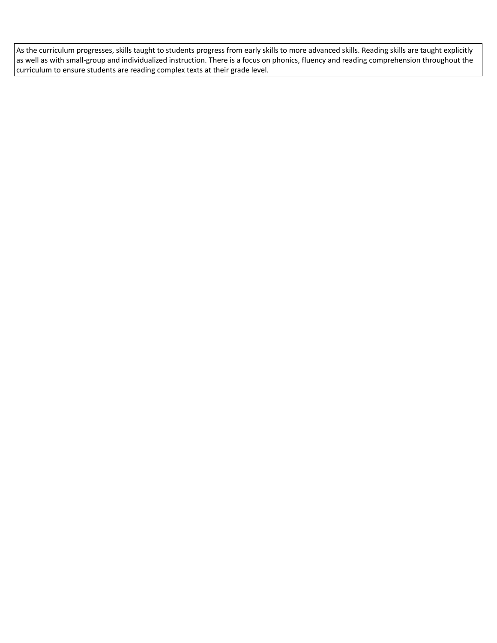As the curriculum progresses, skills taught to students progress from early skills to more advanced skills. Reading skills are taught explicitly as well as with small-group and individualized instruction. There is a focus on phonics, fluency and reading comprehension throughout the curriculum to ensure students are reading complex texts at their grade level.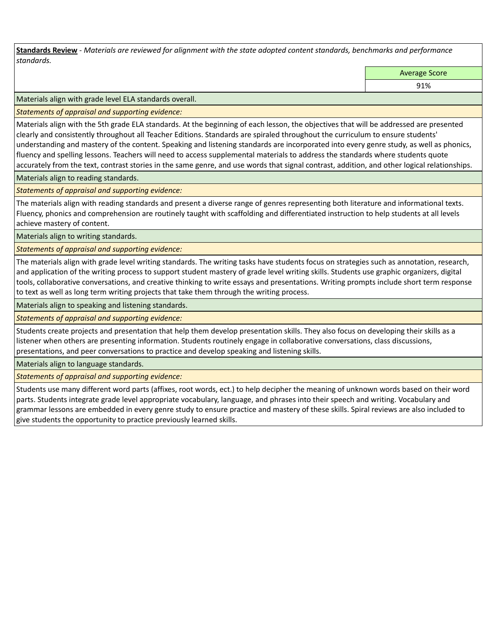**Standards Review** *- Materials are reviewed for alignment with the state adopted content standards, benchmarks and performance standards.*

Average Score

91%

Materials align with grade level ELA standards overall.

*Statements of appraisal and supporting evidence:* 

Materials align with the 5th grade ELA standards. At the beginning of each lesson, the objectives that will be addressed are presented clearly and consistently throughout all Teacher Editions. Standards are spiraled throughout the curriculum to ensure students' understanding and mastery of the content. Speaking and listening standards are incorporated into every genre study, as well as phonics, fluency and spelling lessons. Teachers will need to access supplemental materials to address the standards where students quote accurately from the text, contrast stories in the same genre, and use words that signal contrast, addition, and other logical relationships.

Materials align to reading standards.

*Statements of appraisal and supporting evidence:* 

The materials align with reading standards and present a diverse range of genres representing both literature and informational texts. Fluency, phonics and comprehension are routinely taught with scaffolding and differentiated instruction to help students at all levels achieve mastery of content.

Materials align to writing standards.

*Statements of appraisal and supporting evidence:* 

The materials align with grade level writing standards. The writing tasks have students focus on strategies such as annotation, research, and application of the writing process to support student mastery of grade level writing skills. Students use graphic organizers, digital tools, collaborative conversations, and creative thinking to write essays and presentations. Writing prompts include short term response to text as well as long term writing projects that take them through the writing process.

Materials align to speaking and listening standards.

*Statements of appraisal and supporting evidence:* 

Students create projects and presentation that help them develop presentation skills. They also focus on developing their skills as a listener when others are presenting information. Students routinely engage in collaborative conversations, class discussions, presentations, and peer conversations to practice and develop speaking and listening skills.

Materials align to language standards.

*Statements of appraisal and supporting evidence:* 

Students use many different word parts (affixes, root words, ect.) to help decipher the meaning of unknown words based on their word parts. Students integrate grade level appropriate vocabulary, language, and phrases into their speech and writing. Vocabulary and grammar lessons are embedded in every genre study to ensure practice and mastery of these skills. Spiral reviews are also included to give students the opportunity to practice previously learned skills.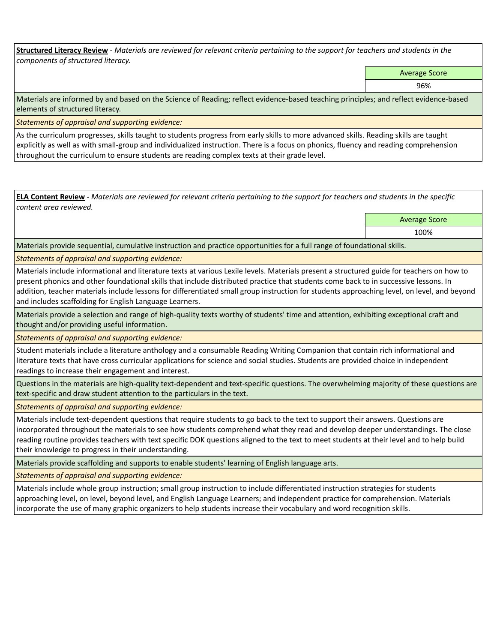**Structured Literacy Review** *- Materials are reviewed for relevant criteria pertaining to the support for teachers and students in the components of structured literacy.*

Average Score

96%

Materials are informed by and based on the Science of Reading; reflect evidence-based teaching principles; and reflect evidence-based elements of structured literacy.

*Statements of appraisal and supporting evidence:*

As the curriculum progresses, skills taught to students progress from early skills to more advanced skills. Reading skills are taught explicitly as well as with small-group and individualized instruction. There is a focus on phonics, fluency and reading comprehension throughout the curriculum to ensure students are reading complex texts at their grade level.

**ELA Content Review** *- Materials are reviewed for relevant criteria pertaining to the support for teachers and students in the specific content area reviewed.*

Average Score

100%

Materials provide sequential, cumulative instruction and practice opportunities for a full range of foundational skills.

*Statements of appraisal and supporting evidence:* 

Materials include informational and literature texts at various Lexile levels. Materials present a structured guide for teachers on how to present phonics and other foundational skills that include distributed practice that students come back to in successive lessons. In addition, teacher materials include lessons for differentiated small group instruction for students approaching level, on level, and beyond and includes scaffolding for English Language Learners.

Materials provide a selection and range of high-quality texts worthy of students' time and attention, exhibiting exceptional craft and thought and/or providing useful information.

*Statements of appraisal and supporting evidence:* 

Student materials include a literature anthology and a consumable Reading Writing Companion that contain rich informational and literature texts that have cross curricular applications for science and social studies. Students are provided choice in independent readings to increase their engagement and interest.

Questions in the materials are high-quality text-dependent and text-specific questions. The overwhelming majority of these questions are text-specific and draw student attention to the particulars in the text.

*Statements of appraisal and supporting evidence:* 

Materials include text-dependent questions that require students to go back to the text to support their answers. Questions are incorporated throughout the materials to see how students comprehend what they read and develop deeper understandings. The close reading routine provides teachers with text specific DOK questions aligned to the text to meet students at their level and to help build their knowledge to progress in their understanding.

Materials provide scaffolding and supports to enable students' learning of English language arts.

*Statements of appraisal and supporting evidence:* 

Materials include whole group instruction; small group instruction to include differentiated instruction strategies for students approaching level, on level, beyond level, and English Language Learners; and independent practice for comprehension. Materials incorporate the use of many graphic organizers to help students increase their vocabulary and word recognition skills.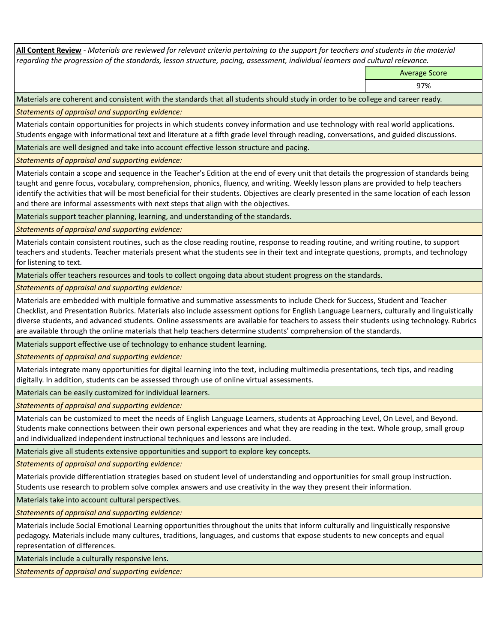**All Content Review** *- Materials are reviewed for relevant criteria pertaining to the support for teachers and students in the material regarding the progression of the standards, lesson structure, pacing, assessment, individual learners and cultural relevance.*

Average Score

97%

Materials are coherent and consistent with the standards that all students should study in order to be college and career ready.

*Statements of appraisal and supporting evidence:*

Materials contain opportunities for projects in which students convey information and use technology with real world applications. Students engage with informational text and literature at a fifth grade level through reading, conversations, and guided discussions.

Materials are well designed and take into account effective lesson structure and pacing.

*Statements of appraisal and supporting evidence:*

Materials contain a scope and sequence in the Teacher's Edition at the end of every unit that details the progression of standards being taught and genre focus, vocabulary, comprehension, phonics, fluency, and writing. Weekly lesson plans are provided to help teachers identify the activities that will be most beneficial for their students. Objectives are clearly presented in the same location of each lesson and there are informal assessments with next steps that align with the objectives.

Materials support teacher planning, learning, and understanding of the standards.

*Statements of appraisal and supporting evidence:*

Materials contain consistent routines, such as the close reading routine, response to reading routine, and writing routine, to support teachers and students. Teacher materials present what the students see in their text and integrate questions, prompts, and technology for listening to text.

Materials offer teachers resources and tools to collect ongoing data about student progress on the standards.

*Statements of appraisal and supporting evidence:*

Materials are embedded with multiple formative and summative assessments to include Check for Success, Student and Teacher Checklist, and Presentation Rubrics. Materials also include assessment options for English Language Learners, culturally and linguistically diverse students, and advanced students. Online assessments are available for teachers to assess their students using technology. Rubrics are available through the online materials that help teachers determine students' comprehension of the standards.

Materials support effective use of technology to enhance student learning.

*Statements of appraisal and supporting evidence:*

Materials integrate many opportunities for digital learning into the text, including multimedia presentations, tech tips, and reading digitally. In addition, students can be assessed through use of online virtual assessments.

Materials can be easily customized for individual learners.

*Statements of appraisal and supporting evidence:* 

Materials can be customized to meet the needs of English Language Learners, students at Approaching Level, On Level, and Beyond. Students make connections between their own personal experiences and what they are reading in the text. Whole group, small group and individualized independent instructional techniques and lessons are included.

Materials give all students extensive opportunities and support to explore key concepts.

*Statements of appraisal and supporting evidence:*

Materials provide differentiation strategies based on student level of understanding and opportunities for small group instruction. Students use research to problem solve complex answers and use creativity in the way they present their information.

Materials take into account cultural perspectives.

*Statements of appraisal and supporting evidence:*

Materials include Social Emotional Learning opportunities throughout the units that inform culturally and linguistically responsive pedagogy. Materials include many cultures, traditions, languages, and customs that expose students to new concepts and equal representation of differences.

Materials include a culturally responsive lens.

*Statements of appraisal and supporting evidence:*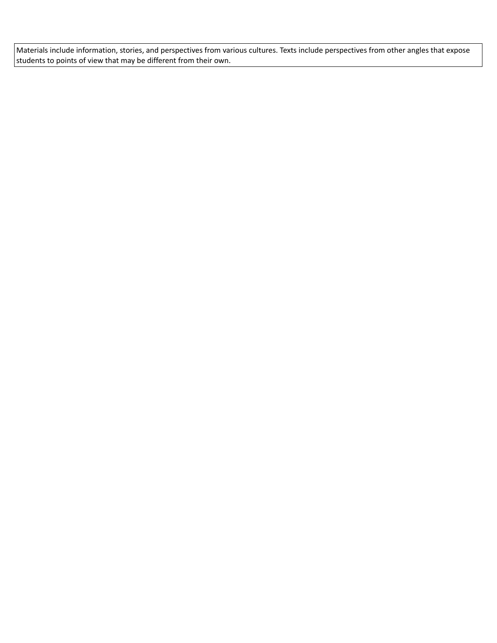Materials include information, stories, and perspectives from various cultures. Texts include perspectives from other angles that expose students to points of view that may be different from their own.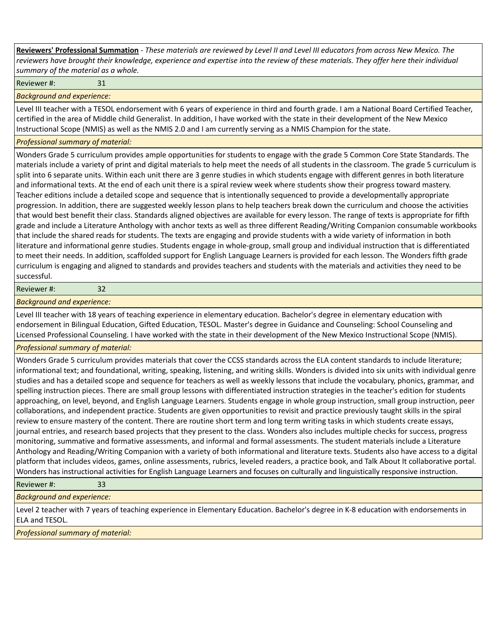**Reviewers' Professional Summation** *- These materials are reviewed by Level II and Level III educators from across New Mexico. The reviewers have brought their knowledge, experience and expertise into the review of these materials. They offer here their individual summary of the material as a whole.*

Reviewer #: 31

*Background and experience:*

Level III teacher with a TESOL endorsement with 6 years of experience in third and fourth grade. I am a National Board Certified Teacher, certified in the area of Middle child Generalist. In addition, I have worked with the state in their development of the New Mexico Instructional Scope (NMIS) as well as the NMIS 2.0 and I am currently serving as a NMIS Champion for the state.

#### *Professional summary of material:*

Wonders Grade 5 curriculum provides ample opportunities for students to engage with the grade 5 Common Core State Standards. The materials include a variety of print and digital materials to help meet the needs of all students in the classroom. The grade 5 curriculum is split into 6 separate units. Within each unit there are 3 genre studies in which students engage with different genres in both literature and informational texts. At the end of each unit there is a spiral review week where students show their progress toward mastery. Teacher editions include a detailed scope and sequence that is intentionally sequenced to provide a developmentally appropriate progression. In addition, there are suggested weekly lesson plans to help teachers break down the curriculum and choose the activities that would best benefit their class. Standards aligned objectives are available for every lesson. The range of texts is appropriate for fifth grade and include a Literature Anthology with anchor texts as well as three different Reading/Writing Companion consumable workbooks that include the shared reads for students. The texts are engaging and provide students with a wide variety of information in both literature and informational genre studies. Students engage in whole-group, small group and individual instruction that is differentiated to meet their needs. In addition, scaffolded support for English Language Learners is provided for each lesson. The Wonders fifth grade curriculum is engaging and aligned to standards and provides teachers and students with the materials and activities they need to be successful.

#### Reviewer #: 32

### *Background and experience:*

Level III teacher with 18 years of teaching experience in elementary education. Bachelor's degree in elementary education with endorsement in Bilingual Education, Gifted Education, TESOL. Master's degree in Guidance and Counseling: School Counseling and Licensed Professional Counseling. I have worked with the state in their development of the New Mexico Instructional Scope (NMIS).

## *Professional summary of material:*

Wonders Grade 5 curriculum provides materials that cover the CCSS standards across the ELA content standards to include literature; informational text; and foundational, writing, speaking, listening, and writing skills. Wonders is divided into six units with individual genre studies and has a detailed scope and sequence for teachers as well as weekly lessons that include the vocabulary, phonics, grammar, and spelling instruction pieces. There are small group lessons with differentiated instruction strategies in the teacher's edition for students approaching, on level, beyond, and English Language Learners. Students engage in whole group instruction, small group instruction, peer collaborations, and independent practice. Students are given opportunities to revisit and practice previously taught skills in the spiral review to ensure mastery of the content. There are routine short term and long term writing tasks in which students create essays, journal entries, and research based projects that they present to the class. Wonders also includes multiple checks for success, progress monitoring, summative and formative assessments, and informal and formal assessments. The student materials include a Literature Anthology and Reading/Writing Companion with a variety of both informational and literature texts. Students also have access to a digital platform that includes videos, games, online assessments, rubrics, leveled readers, a practice book, and Talk About It collaborative portal. Wonders has instructional activities for English Language Learners and focuses on culturally and linguistically responsive instruction.

Reviewer #: 33

*Background and experience:*

Level 2 teacher with 7 years of teaching experience in Elementary Education. Bachelor's degree in K-8 education with endorsements in ELA and TESOL.

*Professional summary of material:*